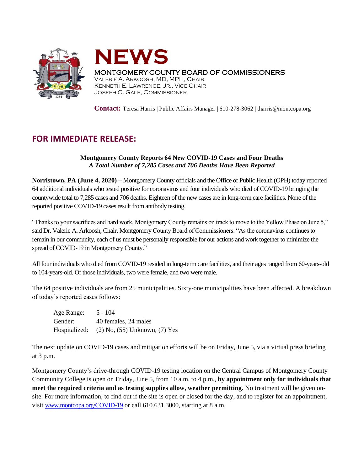



## MONTGOMERY COUNTY BOARD OF COMMISSIONERS

VALERIE A. ARKOOSH, MD, MPH, CHAIR KENNETH E. LAWRENCE, JR., VICE CHAIR JOSEPH C. GALE, COMMISSIONER

**Contact:** Teresa Harris | Public Affairs Manager | 610-278-3062 | tharris@montcopa.org

## **FOR IMMEDIATE RELEASE:**

## **Montgomery County Reports 64 New COVID-19 Cases and Four Deaths** *A Total Number of 7,285 Cases and 706 Deaths Have Been Reported*

**Norristown, PA (June 4, 2020) –** Montgomery County officials and the Office of Public Health (OPH) today reported 64 additional individuals who tested positive for coronavirus and four individuals who died of COVID-19 bringing the countywide total to 7,285 cases and 706 deaths. Eighteen of the new cases are in long-term care facilities. None of the reported positive COVID-19 cases result from antibody testing.

"Thanks to your sacrifices and hard work, Montgomery County remains on track to move to the Yellow Phase on June 5," said Dr. Valerie A. Arkoosh, Chair, Montgomery County Board of Commissioners. "As the coronavirus continues to remain in our community, each of us must be personally responsible for our actions and work together to minimize the spread of COVID-19 in Montgomery County."

All four individuals who died from COVID-19 resided in long-term care facilities, and their ages ranged from 60-years-old to 104-years-old. Of those individuals, two were female, and two were male.

The 64 positive individuals are from 25 municipalities. Sixty-one municipalities have been affected. A breakdown of today's reported cases follows:

| Age Range:    | $5 - 104$                           |
|---------------|-------------------------------------|
| Gender:       | 40 females, 24 males                |
| Hospitalized: | $(2)$ No, $(55)$ Unknown, $(7)$ Yes |

The next update on COVID-19 cases and mitigation efforts will be on Friday, June 5, via a virtual press briefing at 3 p.m.

Montgomery County's drive-through COVID-19 testing location on the Central Campus of Montgomery County Community College is open on Friday, June 5, from 10 a.m. to 4 p.m., **by appointment only for individuals that meet the required criteria and as testing supplies allow, weather permitting.** No treatment will be given onsite. For more information, to find out if the site is open or closed for the day, and to register for an appointment, visi[t www.montcopa.org/COVID-19](http://www.montcopa.org/COVID-19) or call 610.631.3000, starting at 8 a.m.